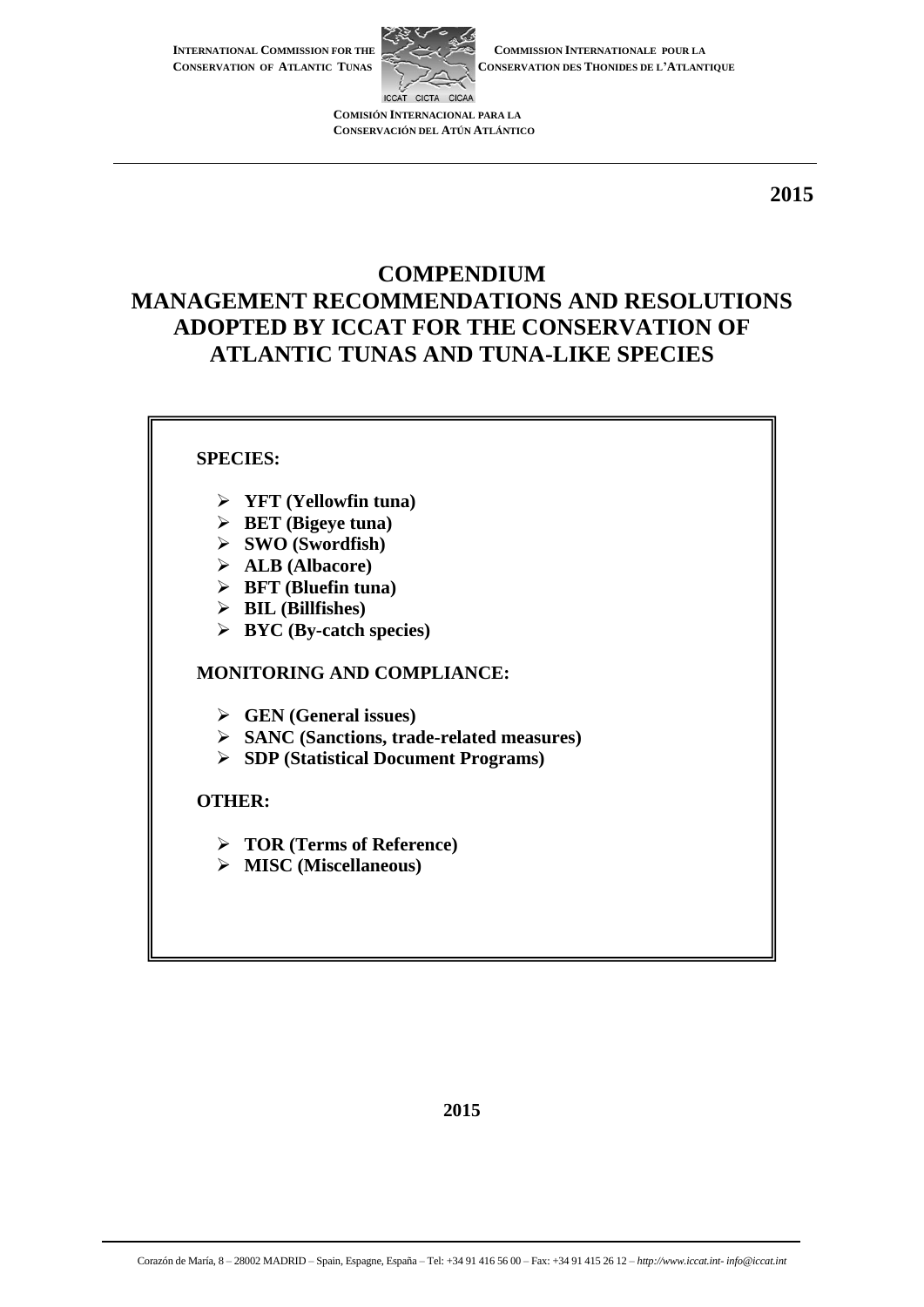**INTERNATIONAL COMMISSION FOR THE CONSERVATION OF ATLANTIC TUNAS**



**COMMISSION INTERNATIONALE POUR LA CONSERVATION DES THONIDES DE L'ATLANTIQUE**

**COMISIÓN INTERNACIONAL PARA LA CONSERVACIÓN DEL ATÚN ATLÁNTICO**

**2015**

# **COMPENDIUM MANAGEMENT RECOMMENDATIONS AND RESOLUTIONS ADOPTED BY ICCAT FOR THE CONSERVATION OF ATLANTIC TUNAS AND TUNA-LIKE SPECIES**

## **SPECIES:**

- **YFT (Yellowfin tuna)**
- **BET (Bigeye tuna)**
- **SWO (Swordfish)**
- **ALB (Albacore)**
- **BFT (Bluefin tuna)**
- **BIL (Billfishes)**
- **BYC (By-catch species)**

## **MONITORING AND COMPLIANCE:**

- **GEN (General issues)**
- **SANC (Sanctions, trade-related measures)**
- **SDP (Statistical Document Programs)**

#### **OTHER:**

- **TOR (Terms of Reference)**
- **MISC (Miscellaneous)**